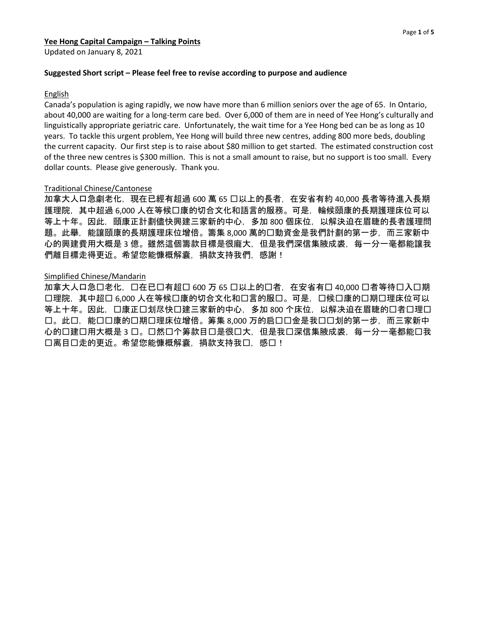Updated on January 8, 2021

#### **Suggested Short script – Please feel free to revise according to purpose and audience**

#### English

Canada's population is aging rapidly, we now have more than 6 million seniors over the age of 65. In Ontario, about 40,000 are waiting for a long-term care bed. Over 6,000 of them are in need of Yee Hong's culturally and linguistically appropriate geriatric care. Unfortunately, the wait time for a Yee Hong bed can be as long as 10 years. To tackle this urgent problem, Yee Hong will build three new centres, adding 800 more beds, doubling the current capacity. Our first step is to raise about \$80 million to get started. The estimated construction cost of the three new centres is \$300 million. This is not a small amount to raise, but no support is too small. Every dollar counts. Please give generously. Thank you.

#### Traditional Chinese/Cantonese

加拿大人口急劇老化,現在已經有超過 600 萬 65 囗以上的長者,在安省有約 40,000 長者等待進入長期 護理院,其中超過 6,000 人在等候口康的切合文化和語言的服務。可是,輪候頤康的長期護理床位可以 等上十年。因此,頤康正計劃儘快興建三家新的中心,多加 800 個床位,以解決迫在眉睫的長者護理問 題。此舉,能讓頤康的長期護理床位增倍。籌集 8,000 萬的口動資金是我們計劃的第一步,而三家新中 心的興建費用大概是 3 億。雖然這個籌款目標是很龐大,但是我們深信集腋成裘,每一分一毫都能讓我 們離目標走得更近。希望您能慷概解囊,捐款支持我們,感謝!

#### Simplified Chinese/Mandarin

加拿大人口急口老化,口在已口有超口 600 万 65 口以上的口者,在安省有口 40,000 口者等待口入口期 口理院,其中超口 6,000 人在等候口康的切合文化和口言的服口。可是,口候口康的口期口理床位可以 等上十年。因此,口康正口划尽快口建三家新的中心,多加 800 个床位,以解决迫在眉睫的口者口理口 口。此口,能口口康的口期口理床位增倍。筹集 8,000 万的启口口金是我口口划的第一步,而三家新中 心的口建口用大概是 3 口。口然口个筹款目口是很口大, 但是我口深信集腋成裘, 每一分一毫都能口我 口离目口走的更近。希望您能慷概解囊,捐款支持我口,感口!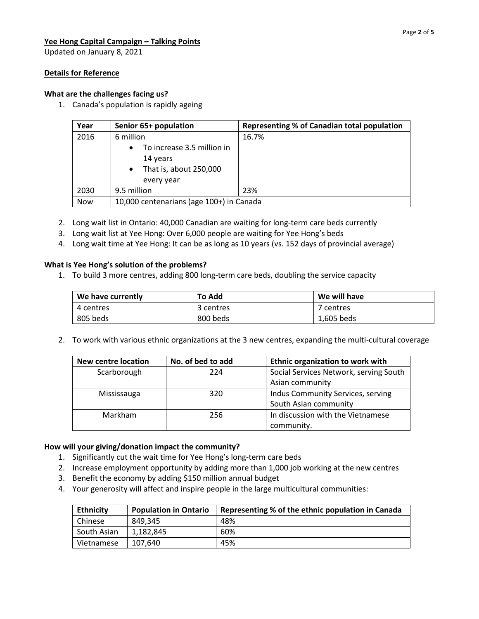Updated on January 8, 2021

## **Details for Reference**

## **What are the challenges facing us?**

1. Canada's population is rapidly ageing

| Year | Senior 65+ population                                                                                    | Representing % of Canadian total population |
|------|----------------------------------------------------------------------------------------------------------|---------------------------------------------|
| 2016 | 6 million                                                                                                | 16.7%                                       |
|      | To increase 3.5 million in<br>$\bullet$<br>14 years<br>That is, about 250,000<br>$\bullet$<br>every year |                                             |
| 2030 | 9.5 million                                                                                              | 23%                                         |
| Now  | 10,000 centenarians (age 100+) in Canada                                                                 |                                             |

- 2. Long wait list in Ontario: 40,000 Canadian are waiting for long-term care beds currently
- 3. Long wait list at Yee Hong: Over 6,000 people are waiting for Yee Hong's beds
- 4. Long wait time at Yee Hong: It can be as long as 10 years (vs. 152 days of provincial average)

## **What is Yee Hong's solution of the problems?**

1. To build 3 more centres, adding 800 long-term care beds, doubling the service capacity

| We have currently | To Add    | We will have |
|-------------------|-----------|--------------|
| 4 centres         | 3 centres | 7 centres    |
| 805 beds          | 800 beds  | 1,605 beds   |

2. To work with various ethnic organizations at the 3 new centres, expanding the multi-cultural coverage

| New centre location | No. of bed to add | Ethnic organization to work with       |
|---------------------|-------------------|----------------------------------------|
| Scarborough         | 224               | Social Services Network, serving South |
|                     |                   | Asian community                        |
| Mississauga         | 320               | Indus Community Services, serving      |
|                     |                   | South Asian community                  |
| Markham             | 256               | In discussion with the Vietnamese      |
|                     |                   | community.                             |

## **How will your giving/donation impact the community?**

- 1. Significantly cut the wait time for Yee Hong's long-term care beds
- 2. Increase employment opportunity by adding more than 1,000 job working at the new centres
- 3. Benefit the economy by adding \$150 million annual budget
- 4. Your generosity will affect and inspire people in the large multicultural communities:

| <b>Ethnicity</b> | <b>Population in Ontario</b> | Representing % of the ethnic population in Canada |
|------------------|------------------------------|---------------------------------------------------|
| Chinese          | 849.345                      | 48%                                               |
| South Asian      | 1.182.845                    | 60%                                               |
| Vietnamese       | 107.640                      | 45%                                               |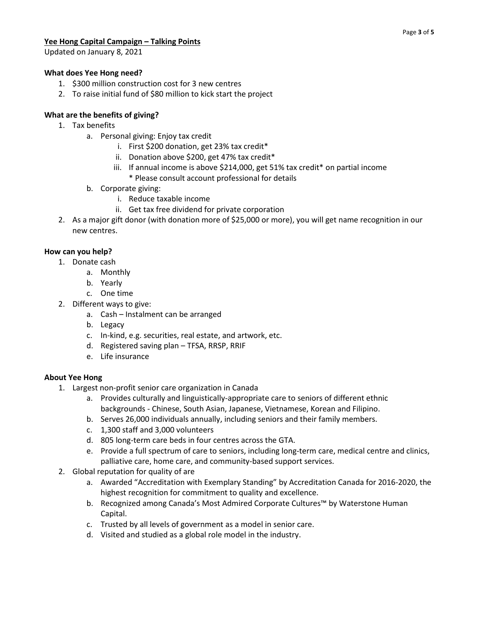Updated on January 8, 2021

## **What does Yee Hong need?**

- 1. \$300 million construction cost for 3 new centres
- 2. To raise initial fund of \$80 million to kick start the project

# **What are the benefits of giving?**

- 1. Tax benefits
	- a. Personal giving: Enjoy tax credit
		- i. First \$200 donation, get 23% tax credit\*
		- ii. Donation above \$200, get 47% tax credit\*
		- iii. If annual income is above \$214,000, get 51% tax credit\* on partial income \* Please consult account professional for details
	- b. Corporate giving:
		- i. Reduce taxable income
		- ii. Get tax free dividend for private corporation
- 2. As a major gift donor (with donation more of \$25,000 or more), you will get name recognition in our new centres.

## **How can you help?**

- 1. Donate cash
	- a. Monthly
	- b. Yearly
	- c. One time
- 2. Different ways to give:
	- a. Cash Instalment can be arranged
	- b. Legacy
	- c. In-kind, e.g. securities, real estate, and artwork, etc.
	- d. Registered saving plan TFSA, RRSP, RRIF
	- e. Life insurance

## **About Yee Hong**

- 1. Largest non-profit senior care organization in Canada
	- a. Provides culturally and linguistically-appropriate care to seniors of different ethnic backgrounds - Chinese, South Asian, Japanese, Vietnamese, Korean and Filipino.
	- b. Serves 26,000 individuals annually, including seniors and their family members.
	- c. 1,300 staff and 3,000 volunteers
	- d. 805 long-term care beds in four centres across the GTA.
	- e. Provide a full spectrum of care to seniors, including long-term care, medical centre and clinics, palliative care, home care, and community-based support services.
- 2. Global reputation for quality of are
	- a. Awarded "Accreditation with Exemplary Standing" by Accreditation Canada for 2016-2020, the highest recognition for commitment to quality and excellence.
	- b. Recognized among Canada's Most Admired Corporate Cultures™ by Waterstone Human Capital.
	- c. Trusted by all levels of government as a model in senior care.
	- d. Visited and studied as a global role model in the industry.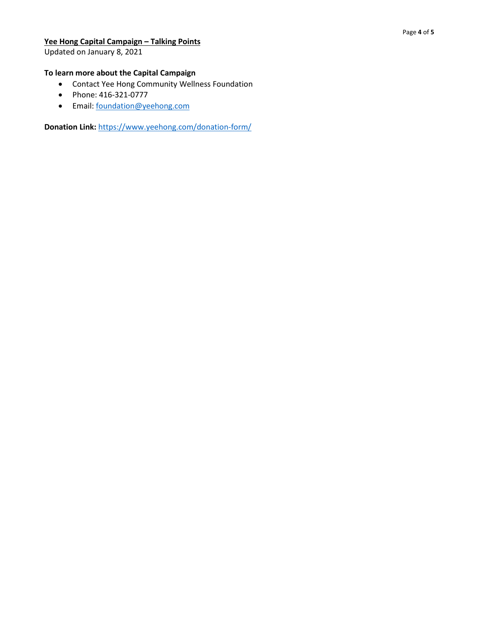Updated on January 8, 2021

## **To learn more about the Capital Campaign**

- Contact Yee Hong Community Wellness Foundation
- Phone: 416-321-0777
- Email[: foundation@yeehong.com](mailto:foundation@yeehong.com)

**Donation Link:** <https://www.yeehong.com/donation-form/>